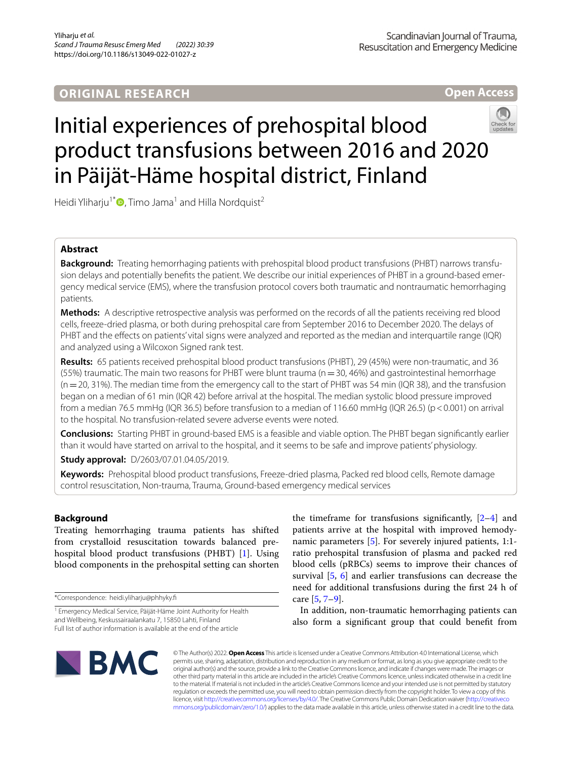**Open Access**



# Initial experiences of prehospital blood product transfusions between 2016 and 2020 in Päijät-Häme hospital district, Finland

Heidi Yliharju<sup>1[\\*](http://orcid.org/0000-0002-1020-6059)</sup> $\bullet$ , Timo Jama<sup>1</sup> and Hilla Nordquist<sup>2</sup>

# **Abstract**

**Background:** Treating hemorrhaging patients with prehospital blood product transfusions (PHBT) narrows transfusion delays and potentially benefts the patient. We describe our initial experiences of PHBT in a ground-based emergency medical service (EMS), where the transfusion protocol covers both traumatic and nontraumatic hemorrhaging patients.

**Methods:** A descriptive retrospective analysis was performed on the records of all the patients receiving red blood cells, freeze-dried plasma, or both during prehospital care from September 2016 to December 2020. The delays of PHBT and the effects on patients' vital signs were analyzed and reported as the median and interquartile range (IQR) and analyzed using a Wilcoxon Signed rank test.

**Results:** 65 patients received prehospital blood product transfusions (PHBT), 29 (45%) were non-traumatic, and 36 (55%) traumatic. The main two reasons for PHBT were blunt trauma ( $n=30$ , 46%) and gastrointestinal hemorrhage  $(n=20, 31%)$ . The median time from the emergency call to the start of PHBT was 54 min (IQR 38), and the transfusion began on a median of 61 min (IQR 42) before arrival at the hospital. The median systolic blood pressure improved from a median 76.5 mmHg (IQR 36.5) before transfusion to a median of 116.60 mmHg (IQR 26.5) (p<0.001) on arrival to the hospital. No transfusion-related severe adverse events were noted.

**Conclusions:** Starting PHBT in ground-based EMS is a feasible and viable option. The PHBT began signifcantly earlier than it would have started on arrival to the hospital, and it seems to be safe and improve patients' physiology.

**Study approval:** D/2603/07.01.04.05/2019.

**Keywords:** Prehospital blood product transfusions, Freeze-dried plasma, Packed red blood cells, Remote damage control resuscitation, Non-trauma, Trauma, Ground-based emergency medical services

# **Background**

Treating hemorrhaging trauma patients has shifted from crystalloid resuscitation towards balanced prehospital blood product transfusions (PHBT) [\[1](#page-7-0)]. Using blood components in the prehospital setting can shorten

\*Correspondence: heidi.yliharju@phhyky.f

the timeframe for transfusions significantly,  $[2-4]$  $[2-4]$  $[2-4]$  and patients arrive at the hospital with improved hemody-namic parameters [[5](#page-7-3)]. For severely injured patients, 1:1ratio prehospital transfusion of plasma and packed red blood cells (pRBCs) seems to improve their chances of survival [[5,](#page-7-3) [6](#page-7-4)] and earlier transfusions can decrease the need for additional transfusions during the frst 24 h of care  $[5, 7-9]$  $[5, 7-9]$  $[5, 7-9]$ .

In addition, non-traumatic hemorrhaging patients can also form a signifcant group that could beneft from



© The Author(s) 2022. **Open Access** This article is licensed under a Creative Commons Attribution 4.0 International License, which permits use, sharing, adaptation, distribution and reproduction in any medium or format, as long as you give appropriate credit to the original author(s) and the source, provide a link to the Creative Commons licence, and indicate if changes were made. The images or other third party material in this article are included in the article's Creative Commons licence, unless indicated otherwise in a credit line to the material. If material is not included in the article's Creative Commons licence and your intended use is not permitted by statutory regulation or exceeds the permitted use, you will need to obtain permission directly from the copyright holder. To view a copy of this licence, visit [http://creativecommons.org/licenses/by/4.0/.](http://creativecommons.org/licenses/by/4.0/) The Creative Commons Public Domain Dedication waiver ([http://creativeco](http://creativecommons.org/publicdomain/zero/1.0/) [mmons.org/publicdomain/zero/1.0/](http://creativecommons.org/publicdomain/zero/1.0/)) applies to the data made available in this article, unless otherwise stated in a credit line to the data.

<sup>&</sup>lt;sup>1</sup> Emergency Medical Service, Päijät-Häme Joint Authority for Health and Wellbeing, Keskussairaalankatu 7, 15850 Lahti, Finland Full list of author information is available at the end of the article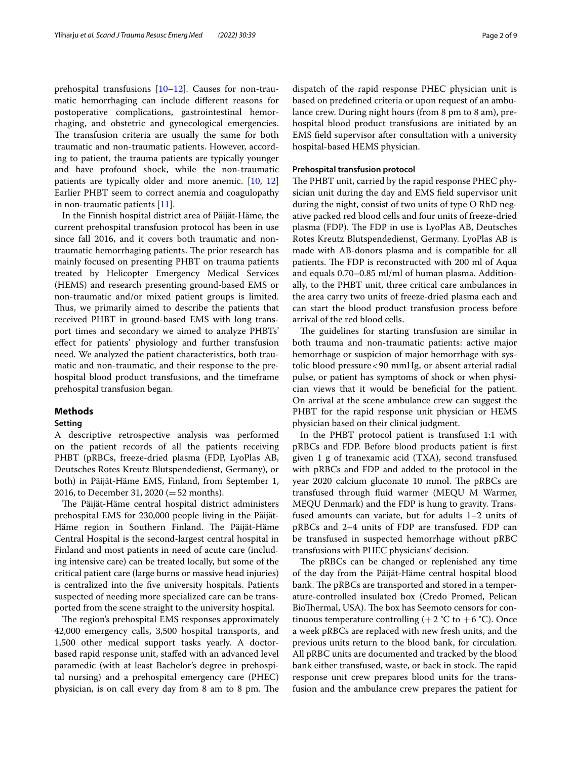prehospital transfusions [\[10–](#page-7-7)[12\]](#page-7-8). Causes for non-traumatic hemorrhaging can include diferent reasons for postoperative complications, gastrointestinal hemorrhaging, and obstetric and gynecological emergencies. The transfusion criteria are usually the same for both traumatic and non-traumatic patients. However, according to patient, the trauma patients are typically younger and have profound shock, while the non-traumatic patients are typically older and more anemic. [[10,](#page-7-7) [12](#page-7-8)] Earlier PHBT seem to correct anemia and coagulopathy in non-traumatic patients [[11\]](#page-7-9).

In the Finnish hospital district area of Päijät-Häme, the current prehospital transfusion protocol has been in use since fall 2016, and it covers both traumatic and nontraumatic hemorrhaging patients. The prior research has mainly focused on presenting PHBT on trauma patients treated by Helicopter Emergency Medical Services (HEMS) and research presenting ground-based EMS or non-traumatic and/or mixed patient groups is limited. Thus, we primarily aimed to describe the patients that received PHBT in ground-based EMS with long transport times and secondary we aimed to analyze PHBTs' efect for patients' physiology and further transfusion need. We analyzed the patient characteristics, both traumatic and non-traumatic, and their response to the prehospital blood product transfusions, and the timeframe prehospital transfusion began.

### **Methods**

## **Setting**

A descriptive retrospective analysis was performed on the patient records of all the patients receiving PHBT (pRBCs, freeze-dried plasma (FDP, LyoPlas AB, Deutsches Rotes Kreutz Blutspendedienst, Germany), or both) in Päijät-Häme EMS, Finland, from September 1, 2016, to December 31, 2020 (=52 months).

The Päijät-Häme central hospital district administers prehospital EMS for 230,000 people living in the Päijät-Häme region in Southern Finland. The Päijät-Häme Central Hospital is the second-largest central hospital in Finland and most patients in need of acute care (including intensive care) can be treated locally, but some of the critical patient care (large burns or massive head injuries) is centralized into the fve university hospitals. Patients suspected of needing more specialized care can be transported from the scene straight to the university hospital.

The region's prehospital EMS responses approximately 42,000 emergency calls, 3,500 hospital transports, and 1,500 other medical support tasks yearly. A doctorbased rapid response unit, stafed with an advanced level paramedic (with at least Bachelor's degree in prehospital nursing) and a prehospital emergency care (PHEC) physician, is on call every day from 8 am to 8 pm. The dispatch of the rapid response PHEC physician unit is based on predefned criteria or upon request of an ambulance crew. During night hours (from 8 pm to 8 am), prehospital blood product transfusions are initiated by an EMS feld supervisor after consultation with a university hospital-based HEMS physician.

## **Prehospital transfusion protocol**

The PHBT unit, carried by the rapid response PHEC physician unit during the day and EMS feld supervisor unit during the night, consist of two units of type O RhD negative packed red blood cells and four units of freeze-dried plasma (FDP). The FDP in use is LyoPlas AB, Deutsches Rotes Kreutz Blutspendedienst, Germany. LyoPlas AB is made with AB-donors plasma and is compatible for all patients. The FDP is reconstructed with 200 ml of Aqua and equals 0.70–0.85 ml/ml of human plasma. Additionally, to the PHBT unit, three critical care ambulances in the area carry two units of freeze-dried plasma each and can start the blood product transfusion process before arrival of the red blood cells.

The guidelines for starting transfusion are similar in both trauma and non-traumatic patients: active major hemorrhage or suspicion of major hemorrhage with systolic blood pressure<90 mmHg, or absent arterial radial pulse, or patient has symptoms of shock or when physician views that it would be benefcial for the patient. On arrival at the scene ambulance crew can suggest the PHBT for the rapid response unit physician or HEMS physician based on their clinical judgment.

In the PHBT protocol patient is transfused 1:1 with pRBCs and FDP. Before blood products patient is frst given 1 g of tranexamic acid (TXA), second transfused with pRBCs and FDP and added to the protocol in the year 2020 calcium gluconate 10 mmol. The pRBCs are transfused through fuid warmer (MEQU M Warmer, MEQU Denmark) and the FDP is hung to gravity. Transfused amounts can variate, but for adults 1–2 units of pRBCs and 2–4 units of FDP are transfused. FDP can be transfused in suspected hemorrhage without pRBC transfusions with PHEC physicians' decision.

The pRBCs can be changed or replenished any time of the day from the Päijät-Häme central hospital blood bank. The pRBCs are transported and stored in a temperature-controlled insulated box (Credo Promed, Pelican BioThermal, USA). The box has Seemoto censors for continuous temperature controlling  $(+ 2 \degree C)$  to  $+ 6 \degree C)$ . Once a week pRBCs are replaced with new fresh units, and the previous units return to the blood bank, for circulation. All pRBC units are documented and tracked by the blood bank either transfused, waste, or back in stock. The rapid response unit crew prepares blood units for the transfusion and the ambulance crew prepares the patient for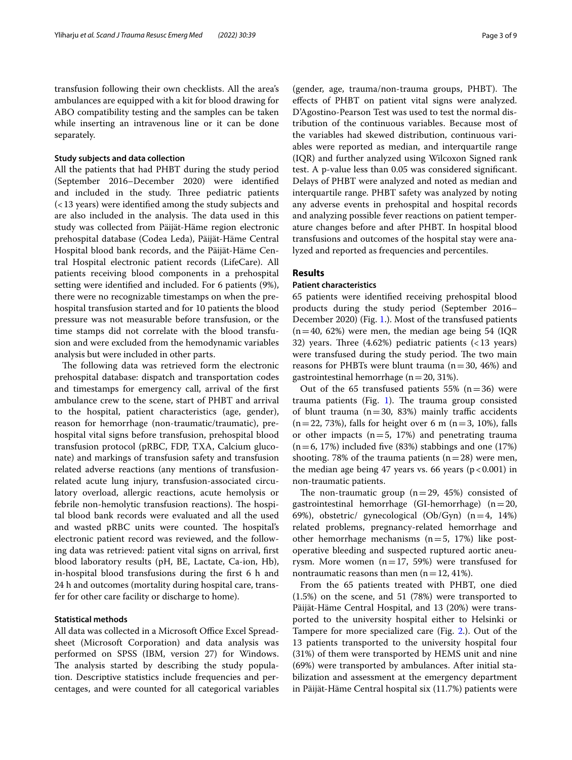transfusion following their own checklists. All the area's ambulances are equipped with a kit for blood drawing for ABO compatibility testing and the samples can be taken while inserting an intravenous line or it can be done separately.

## **Study subjects and data collection**

All the patients that had PHBT during the study period (September 2016–December 2020) were identifed and included in the study. Three pediatric patients (<13 years) were identifed among the study subjects and are also included in the analysis. The data used in this study was collected from Päijät-Häme region electronic prehospital database (Codea Leda), Päijät-Häme Central Hospital blood bank records, and the Päijät-Häme Central Hospital electronic patient records (LifeCare). All patients receiving blood components in a prehospital setting were identifed and included. For 6 patients (9%), there were no recognizable timestamps on when the prehospital transfusion started and for 10 patients the blood pressure was not measurable before transfusion, or the time stamps did not correlate with the blood transfusion and were excluded from the hemodynamic variables analysis but were included in other parts.

The following data was retrieved form the electronic prehospital database: dispatch and transportation codes and timestamps for emergency call, arrival of the frst ambulance crew to the scene, start of PHBT and arrival to the hospital, patient characteristics (age, gender), reason for hemorrhage (non-traumatic/traumatic), prehospital vital signs before transfusion, prehospital blood transfusion protocol (pRBC, FDP, TXA, Calcium gluconate) and markings of transfusion safety and transfusion related adverse reactions (any mentions of transfusionrelated acute lung injury, transfusion-associated circulatory overload, allergic reactions, acute hemolysis or febrile non-hemolytic transfusion reactions). The hospital blood bank records were evaluated and all the used and wasted pRBC units were counted. The hospital's electronic patient record was reviewed, and the following data was retrieved: patient vital signs on arrival, frst blood laboratory results (pH, BE, Lactate, Ca-ion, Hb), in-hospital blood transfusions during the frst 6 h and 24 h and outcomes (mortality during hospital care, transfer for other care facility or discharge to home).

## **Statistical methods**

All data was collected in a Microsoft Office Excel Spreadsheet (Microsoft Corporation) and data analysis was performed on SPSS (IBM, version 27) for Windows. The analysis started by describing the study population. Descriptive statistics include frequencies and percentages, and were counted for all categorical variables

(gender, age, trauma/non-trauma groups, PHBT). The efects of PHBT on patient vital signs were analyzed. D'Agostino-Pearson Test was used to test the normal distribution of the continuous variables. Because most of the variables had skewed distribution, continuous variables were reported as median, and interquartile range (IQR) and further analyzed using Wilcoxon Signed rank test. A p-value less than 0.05 was considered signifcant. Delays of PHBT were analyzed and noted as median and interquartile range. PHBT safety was analyzed by noting any adverse events in prehospital and hospital records and analyzing possible fever reactions on patient temperature changes before and after PHBT. In hospital blood transfusions and outcomes of the hospital stay were analyzed and reported as frequencies and percentiles.

## **Results**

## **Patient characteristics**

65 patients were identifed receiving prehospital blood products during the study period (September 2016– December 2020) (Fig. [1](#page-3-0).). Most of the transfused patients  $(n=40, 62%)$  were men, the median age being 54 (IQR) 32) years. Three  $(4.62%)$  pediatric patients  $(<13$  years) were transfused during the study period. The two main reasons for PHBTs were blunt trauma  $(n=30, 46%)$  and gastrointestinal hemorrhage ( $n=20, 31\%$ ).

Out of the 65 transfused patients 55%  $(n=36)$  were trauma patients (Fig.  $1$ ). The trauma group consisted of blunt trauma ( $n=30$ , 83%) mainly traffic accidents  $(n=22, 73%)$ , falls for height over 6 m  $(n=3, 10%)$ , falls or other impacts  $(n=5, 17%)$  and penetrating trauma  $(n=6, 17%)$  included five (83%) stabbings and one (17%) shooting. 78% of the trauma patients  $(n=28)$  were men, the median age being 47 years vs. 66 years  $(p < 0.001)$  in non-traumatic patients.

The non-traumatic group  $(n=29, 45%)$  consisted of gastrointestinal hemorrhage (GI-hemorrhage)  $(n=20,$ 69%), obstetric/ gynecological (Ob/Gyn)  $(n=4, 14%)$ related problems, pregnancy-related hemorrhage and other hemorrhage mechanisms  $(n=5, 17%)$  like postoperative bleeding and suspected ruptured aortic aneurysm. More women  $(n=17, 59%)$  were transfused for nontraumatic reasons than men  $(n=12, 41\%)$ .

From the 65 patients treated with PHBT, one died (1.5%) on the scene, and 51 (78%) were transported to Päijät-Häme Central Hospital, and 13 (20%) were transported to the university hospital either to Helsinki or Tampere for more specialized care (Fig. [2](#page-4-0).). Out of the 13 patients transported to the university hospital four (31%) of them were transported by HEMS unit and nine (69%) were transported by ambulances. After initial stabilization and assessment at the emergency department in Päijät-Häme Central hospital six (11.7%) patients were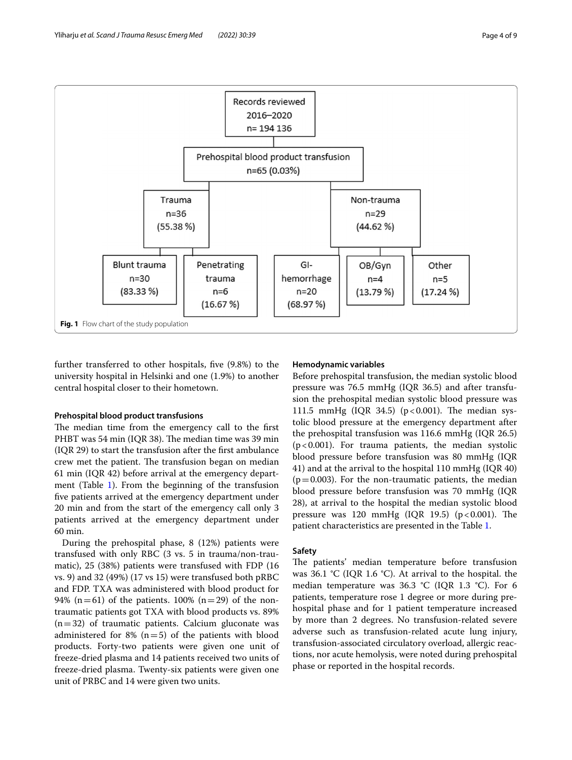

<span id="page-3-0"></span>further transferred to other hospitals, fve (9.8%) to the university hospital in Helsinki and one (1.9%) to another central hospital closer to their hometown.

### **Prehospital blood product transfusions**

The median time from the emergency call to the first PHBT was 54 min (IQR 38). The median time was 39 min (IQR 29) to start the transfusion after the frst ambulance crew met the patient. The transfusion began on median 61 min (IQR 42) before arrival at the emergency depart-ment (Table [1\)](#page-4-1). From the beginning of the transfusion fve patients arrived at the emergency department under 20 min and from the start of the emergency call only 3 patients arrived at the emergency department under 60 min.

During the prehospital phase, 8 (12%) patients were transfused with only RBC (3 vs. 5 in trauma/non-traumatic), 25 (38%) patients were transfused with FDP (16 vs. 9) and 32 (49%) (17 vs 15) were transfused both pRBC and FDP. TXA was administered with blood product for 94% (n=61) of the patients. 100% (n=29) of the nontraumatic patients got TXA with blood products vs. 89%  $(n=32)$  of traumatic patients. Calcium gluconate was administered for 8%  $(n=5)$  of the patients with blood products. Forty-two patients were given one unit of freeze-dried plasma and 14 patients received two units of freeze-dried plasma. Twenty-six patients were given one unit of PRBC and 14 were given two units.

## **Hemodynamic variables**

Before prehospital transfusion, the median systolic blood pressure was 76.5 mmHg (IQR 36.5) and after transfusion the prehospital median systolic blood pressure was 111.5 mmHg (IQR 34.5) ( $p < 0.001$ ). The median systolic blood pressure at the emergency department after the prehospital transfusion was 116.6 mmHg (IQR 26.5)  $(p<0.001)$ . For trauma patients, the median systolic blood pressure before transfusion was 80 mmHg (IQR 41) and at the arrival to the hospital 110 mmHg (IQR 40)  $(p=0.003)$ . For the non-traumatic patients, the median blood pressure before transfusion was 70 mmHg (IQR 28), at arrival to the hospital the median systolic blood pressure was  $120 \text{ mmHg}$  (IQR  $19.5$ ) (p < 0.001). The patient characteristics are presented in the Table [1.](#page-4-1)

## **Safety**

The patients' median temperature before transfusion was 36.1  $°C$  (IQR 1.6  $°C$ ). At arrival to the hospital. the median temperature was 36.3 °C (IQR 1.3 °C). For 6 patients, temperature rose 1 degree or more during prehospital phase and for 1 patient temperature increased by more than 2 degrees. No transfusion-related severe adverse such as transfusion-related acute lung injury, transfusion-associated circulatory overload, allergic reactions, nor acute hemolysis, were noted during prehospital phase or reported in the hospital records.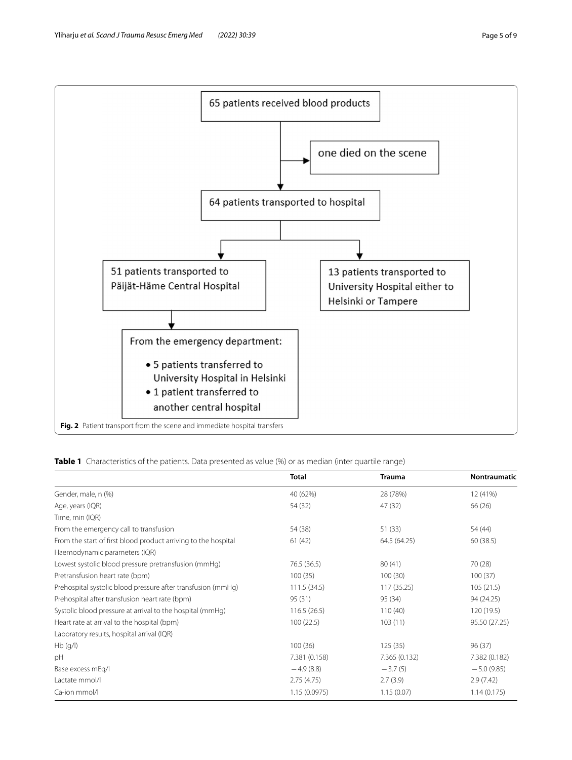

<span id="page-4-1"></span><span id="page-4-0"></span>**Table 1** Characteristics of the patients. Data presented as value (%) or as median (inter quartile range)

|                                                                | Total         | <b>Trauma</b> | Nontraumatic  |
|----------------------------------------------------------------|---------------|---------------|---------------|
| Gender, male, n (%)                                            | 40 (62%)      | 28 (78%)      | 12 (41%)      |
| Age, years (IQR)                                               | 54 (32)       | 47 (32)       | 66 (26)       |
| Time, min (IQR)                                                |               |               |               |
| From the emergency call to transfusion                         | 54 (38)       | 51(33)        | 54 (44)       |
| From the start of first blood product arriving to the hospital | 61(42)        | 64.5 (64.25)  | 60 (38.5)     |
| Haemodynamic parameters (IQR)                                  |               |               |               |
| Lowest systolic blood pressure pretransfusion (mmHq)           | 76.5 (36.5)   | 80(41)        | 70 (28)       |
| Pretransfusion heart rate (bpm)                                | 100(35)       | 100(30)       | 100(37)       |
| Prehospital systolic blood pressure after transfusion (mmHq)   | 111.5(34.5)   | 117 (35.25)   | 105(21.5)     |
| Prehospital after transfusion heart rate (bpm)                 | 95 (31)       | 95 (34)       | 94 (24.25)    |
| Systolic blood pressure at arrival to the hospital (mmHg)      | 116.5(26.5)   | 110(40)       | 120 (19.5)    |
| Heart rate at arrival to the hospital (bpm)                    | 100(22.5)     | 103(11)       | 95.50 (27.25) |
| Laboratory results, hospital arrival (IQR)                     |               |               |               |
| Hb(q/l)                                                        | 100(36)       | 125(35)       | 96(37)        |
| pH                                                             | 7.381 (0.158) | 7.365 (0.132) | 7.382 (0.182) |
| Base excess mEg/l                                              | $-4.9(8.8)$   | $-3.7(5)$     | $-5.0(9.85)$  |
| Lactate mmol/l                                                 | 2.75(4.75)    | 2.7(3.9)      | 2.9(7.42)     |
| Ca-ion mmol/l                                                  | 1.15(0.0975)  | 1.15(0.07)    | 1.14(0.175)   |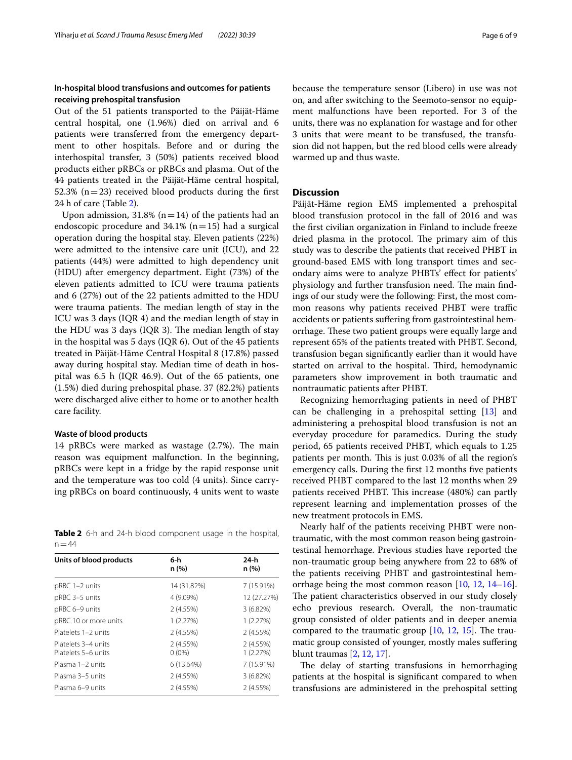## **In‑hospital blood transfusions and outcomes for patients receiving prehospital transfusion**

Out of the 51 patients transported to the Päijät-Häme central hospital, one (1.96%) died on arrival and 6 patients were transferred from the emergency department to other hospitals. Before and or during the interhospital transfer, 3 (50%) patients received blood products either pRBCs or pRBCs and plasma. Out of the 44 patients treated in the Päijät-Häme central hospital, 52.3% ( $n=23$ ) received blood products during the first 24 h of care (Table [2](#page-5-0)).

Upon admission, 31.8% ( $n=14$ ) of the patients had an endoscopic procedure and  $34.1\%$  (n=15) had a surgical operation during the hospital stay. Eleven patients (22%) were admitted to the intensive care unit (ICU), and 22 patients (44%) were admitted to high dependency unit (HDU) after emergency department. Eight (73%) of the eleven patients admitted to ICU were trauma patients and 6 (27%) out of the 22 patients admitted to the HDU were trauma patients. The median length of stay in the ICU was 3 days (IQR 4) and the median length of stay in the HDU was 3 days (IQR 3). The median length of stay in the hospital was 5 days (IQR 6). Out of the 45 patients treated in Päijät-Häme Central Hospital 8 (17.8%) passed away during hospital stay. Median time of death in hospital was 6.5 h (IQR 46.9). Out of the 65 patients, one (1.5%) died during prehospital phase. 37 (82.2%) patients were discharged alive either to home or to another health care facility.

## **Waste of blood products**

14 pRBCs were marked as wastage (2.7%). The main reason was equipment malfunction. In the beginning, pRBCs were kept in a fridge by the rapid response unit and the temperature was too cold (4 units). Since carrying pRBCs on board continuously, 4 units went to waste

<span id="page-5-0"></span>**Table 2** 6-h and 24-h blood component usage in the hospital,  $n = 44$ 

| Units of blood products                    | 6-h                  | 24-h<br>n (%)        |  |
|--------------------------------------------|----------------------|----------------------|--|
|                                            | n (%)                |                      |  |
| pRBC 1-2 units                             | 14 (31.82%)          | 7 (15.91%)           |  |
| pRBC 3-5 units                             | 4 (9.09%)            | 12 (27.27%)          |  |
| pRBC 6-9 units                             | 2(4.55%)             | $3(6.82\%)$          |  |
| pRBC 10 or more units                      | 1(2.27%)             | 1(2.27%)             |  |
| Platelets 1-2 units                        | 2(4.55%)             | 2(4.55%)             |  |
| Platelets 3–4 units<br>Platelets 5-6 units | 2(4.55%)<br>$0(0\%)$ | 2(4.55%)<br>1(2.27%) |  |
| Plasma 1–2 units                           | 6(13.64%)            | 7 (15.91%)           |  |
| Plasma 3-5 units                           | 2(4.55%)             | $3(6.82\%)$          |  |
| Plasma 6-9 units                           | 2(4.55%)             | 2(4.55%)             |  |

because the temperature sensor (Libero) in use was not on, and after switching to the Seemoto-sensor no equipment malfunctions have been reported. For 3 of the units, there was no explanation for wastage and for other 3 units that were meant to be transfused, the transfusion did not happen, but the red blood cells were already warmed up and thus waste.

## **Discussion**

Päijät-Häme region EMS implemented a prehospital blood transfusion protocol in the fall of 2016 and was the frst civilian organization in Finland to include freeze dried plasma in the protocol. The primary aim of this study was to describe the patients that received PHBT in ground-based EMS with long transport times and secondary aims were to analyze PHBTs' efect for patients' physiology and further transfusion need. The main findings of our study were the following: First, the most common reasons why patients received PHBT were traffic accidents or patients sufering from gastrointestinal hemorrhage. These two patient groups were equally large and represent 65% of the patients treated with PHBT. Second, transfusion began signifcantly earlier than it would have started on arrival to the hospital. Third, hemodynamic parameters show improvement in both traumatic and nontraumatic patients after PHBT.

Recognizing hemorrhaging patients in need of PHBT can be challenging in a prehospital setting [[13\]](#page-7-10) and administering a prehospital blood transfusion is not an everyday procedure for paramedics. During the study period, 65 patients received PHBT, which equals to 1.25 patients per month. This is just 0.03% of all the region's emergency calls. During the frst 12 months fve patients received PHBT compared to the last 12 months when 29 patients received PHBT. This increase (480%) can partly represent learning and implementation prosses of the new treatment protocols in EMS.

Nearly half of the patients receiving PHBT were nontraumatic, with the most common reason being gastrointestinal hemorrhage. Previous studies have reported the non-traumatic group being anywhere from 22 to 68% of the patients receiving PHBT and gastrointestinal hemorrhage being the most common reason [\[10](#page-7-7), [12](#page-7-8), [14](#page-7-11)[–16](#page-7-12)]. The patient characteristics observed in our study closely echo previous research. Overall, the non-traumatic group consisted of older patients and in deeper anemia compared to the traumatic group  $[10, 12, 15]$  $[10, 12, 15]$  $[10, 12, 15]$  $[10, 12, 15]$  $[10, 12, 15]$ . The traumatic group consisted of younger, mostly males sufering blunt traumas [\[2](#page-7-1), [12,](#page-7-8) [17](#page-7-14)].

The delay of starting transfusions in hemorrhaging patients at the hospital is signifcant compared to when transfusions are administered in the prehospital setting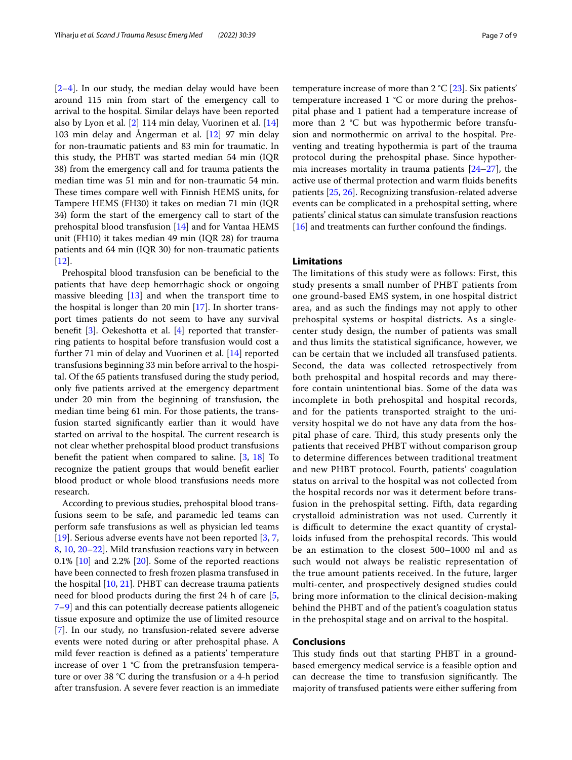[[2–](#page-7-1)[4\]](#page-7-2). In our study, the median delay would have been around 115 min from start of the emergency call to arrival to the hospital. Similar delays have been reported also by Lyon et al. [[2\]](#page-7-1) 114 min delay, Vuorinen et al. [[14](#page-7-11)] 103 min delay and Ångerman et al. [[12](#page-7-8)] 97 min delay for non-traumatic patients and 83 min for traumatic. In this study, the PHBT was started median 54 min (IQR 38) from the emergency call and for trauma patients the median time was 51 min and for non-traumatic 54 min. These times compare well with Finnish HEMS units, for Tampere HEMS (FH30) it takes on median 71 min (IQR 34) form the start of the emergency call to start of the prehospital blood transfusion [[14\]](#page-7-11) and for Vantaa HEMS unit (FH10) it takes median 49 min (IQR 28) for trauma patients and 64 min (IQR 30) for non-traumatic patients [[12\]](#page-7-8).

Prehospital blood transfusion can be benefcial to the patients that have deep hemorrhagic shock or ongoing massive bleeding [[13](#page-7-10)] and when the transport time to the hospital is longer than 20 min [[17](#page-7-14)]. In shorter transport times patients do not seem to have any survival beneft [[3\]](#page-7-15). Oekeshotta et al. [\[4](#page-7-2)] reported that transferring patients to hospital before transfusion would cost a further 71 min of delay and Vuorinen et al. [\[14](#page-7-11)] reported transfusions beginning 33 min before arrival to the hospital. Of the 65 patients transfused during the study period, only fve patients arrived at the emergency department under 20 min from the beginning of transfusion, the median time being 61 min. For those patients, the transfusion started signifcantly earlier than it would have started on arrival to the hospital. The current research is not clear whether prehospital blood product transfusions beneft the patient when compared to saline. [\[3](#page-7-15), [18](#page-8-0)] To recognize the patient groups that would beneft earlier blood product or whole blood transfusions needs more research.

According to previous studies, prehospital blood transfusions seem to be safe, and paramedic led teams can perform safe transfusions as well as physician led teams [[19\]](#page-8-1). Serious adverse events have not been reported [[3,](#page-7-15) [7](#page-7-5), [8,](#page-7-16) [10](#page-7-7), [20–](#page-8-2)[22\]](#page-8-3). Mild transfusion reactions vary in between  $0.1\%$  [\[10\]](#page-7-7) and 2.2% [[20\]](#page-8-2). Some of the reported reactions have been connected to fresh frozen plasma transfused in the hospital [[10](#page-7-7), [21](#page-8-4)]. PHBT can decrease trauma patients need for blood products during the frst 24 h of care [\[5](#page-7-3), [7–](#page-7-5)[9](#page-7-6)] and this can potentially decrease patients allogeneic tissue exposure and optimize the use of limited resource [[7\]](#page-7-5). In our study, no transfusion-related severe adverse events were noted during or after prehospital phase. A mild fever reaction is defned as a patients' temperature increase of over  $1 °C$  from the pretransfusion temperature or over 38 °C during the transfusion or a 4-h period after transfusion. A severe fever reaction is an immediate temperature increase of more than  $2 \text{ }^{\circ}C$  [\[23](#page-8-5)]. Six patients' temperature increased 1 °C or more during the prehospital phase and 1 patient had a temperature increase of more than 2 °C but was hypothermic before transfusion and normothermic on arrival to the hospital. Preventing and treating hypothermia is part of the trauma protocol during the prehospital phase. Since hypothermia increases mortality in trauma patients  $[24-27]$  $[24-27]$  $[24-27]$ , the active use of thermal protection and warm fuids benefts patients [[25,](#page-8-8) [26](#page-8-9)]. Recognizing transfusion-related adverse events can be complicated in a prehospital setting, where patients' clinical status can simulate transfusion reactions [[16\]](#page-7-12) and treatments can further confound the findings.

## **Limitations**

The limitations of this study were as follows: First, this study presents a small number of PHBT patients from one ground-based EMS system, in one hospital district area, and as such the fndings may not apply to other prehospital systems or hospital districts. As a singlecenter study design, the number of patients was small and thus limits the statistical signifcance, however, we can be certain that we included all transfused patients. Second, the data was collected retrospectively from both prehospital and hospital records and may therefore contain unintentional bias. Some of the data was incomplete in both prehospital and hospital records, and for the patients transported straight to the university hospital we do not have any data from the hospital phase of care. Third, this study presents only the patients that received PHBT without comparison group to determine diferences between traditional treatment and new PHBT protocol. Fourth, patients' coagulation status on arrival to the hospital was not collected from the hospital records nor was it determent before transfusion in the prehospital setting. Fifth, data regarding crystalloid administration was not used. Currently it is difficult to determine the exact quantity of crystalloids infused from the prehospital records. This would be an estimation to the closest 500–1000 ml and as such would not always be realistic representation of the true amount patients received. In the future, larger multi-center, and prospectively designed studies could bring more information to the clinical decision-making behind the PHBT and of the patient's coagulation status in the prehospital stage and on arrival to the hospital.

## **Conclusions**

This study finds out that starting PHBT in a groundbased emergency medical service is a feasible option and can decrease the time to transfusion significantly. The majority of transfused patients were either sufering from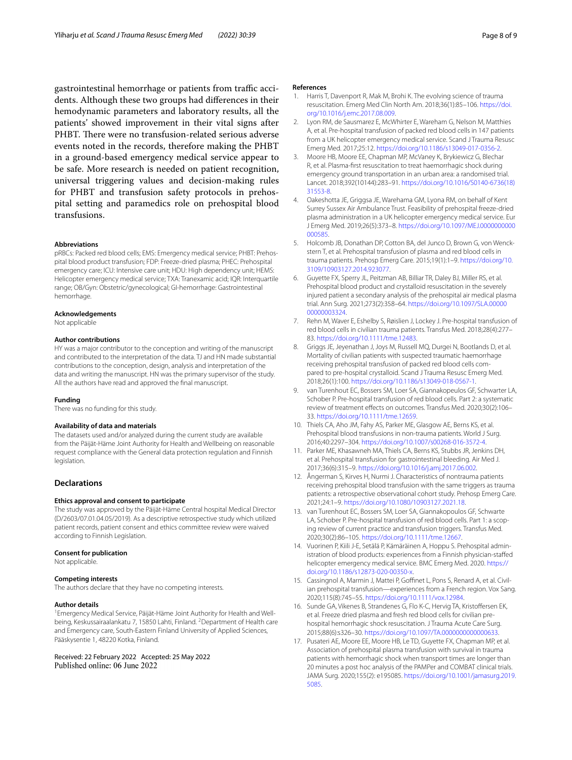gastrointestinal hemorrhage or patients from traffic accidents. Although these two groups had diferences in their hemodynamic parameters and laboratory results, all the patients' showed improvement in their vital signs after PHBT. There were no transfusion-related serious adverse events noted in the records, therefore making the PHBT in a ground-based emergency medical service appear to be safe. More research is needed on patient recognition, universal triggering values and decision-making rules for PHBT and transfusion safety protocols in prehospital setting and paramedics role on prehospital blood transfusions.

#### **Abbreviations**

pRBCs: Packed red blood cells; EMS: Emergency medical service; PHBT: Prehospital blood product transfusion; FDP: Freeze-dried plasma; PHEC: Prehospital emergency care; ICU: Intensive care unit; HDU: High dependency unit; HEMS: Helicopter emergency medical service; TXA: Tranexamic acid; IQR: Interquartile range; OB/Gyn: Obstetric/gynecological; GI-hemorrhage: Gastrointestinal hemorrhage.

## **Acknowledgements**

Not applicable

## **Author contributions**

HY was a major contributor to the conception and writing of the manuscript and contributed to the interpretation of the data. TJ and HN made substantial contributions to the conception, design, analysis and interpretation of the data and writing the manuscript. HN was the primary supervisor of the study. All the authors have read and approved the fnal manuscript.

#### **Funding**

There was no funding for this study.

## **Availability of data and materials**

The datasets used and/or analyzed during the current study are available from the Päijät-Häme Joint Authority for Health and Wellbeing on reasonable request compliance with the General data protection regulation and Finnish legislation.

#### **Declarations**

#### **Ethics approval and consent to participate**

The study was approved by the Päijät-Häme Central hospital Medical Director (D/2603/07.01.04.05/2019). As a descriptive retrospective study which utilized patient records, patient consent and ethics committee review were waived according to Finnish Legislation.

#### **Consent for publication**

Not applicable.

#### **Competing interests**

The authors declare that they have no competing interests.

#### **Author details**

<sup>1</sup> Emergency Medical Service, Päijät-Häme Joint Authority for Health and Wellbeing, Keskussairaalankatu 7, 15850 Lahti, Finland. <sup>2</sup> Department of Health care and Emergency care, South-Eastern Finland University of Applied Sciences, Pääskysentie 1, 48220 Kotka, Finland.

Received: 22 February 2022 Accepted: 25 May 2022 Published online: 06 June 2022

#### **References**

- <span id="page-7-0"></span>1. Harris T, Davenport R, Mak M, Brohi K. The evolving science of trauma resuscitation. Emerg Med Clin North Am. 2018;36(1):85–106. [https://doi.](https://doi.org/10.1016/j.emc.2017.08.009) [org/10.1016/j.emc.2017.08.009](https://doi.org/10.1016/j.emc.2017.08.009).
- <span id="page-7-1"></span>2. Lyon RM, de Sausmarez E, McWhirter E, Wareham G, Nelson M, Matthies A, et al. Pre-hospital transfusion of packed red blood cells in 147 patients from a UK helicopter emergency medical service. Scand J Trauma Resusc Emerg Med. 2017;25:12.<https://doi.org/10.1186/s13049-017-0356-2>.
- <span id="page-7-15"></span>3. Moore HB, Moore EE, Chapman MP, McVaney K, Brykiewicz G, Blechar R, et al. Plasma-frst resuscitation to treat haemorrhagic shock during emergency ground transportation in an urban area: a randomised trial. Lancet. 2018;392(10144):283–91. [https://doi.org/10.1016/S0140-6736\(18\)](https://doi.org/10.1016/S0140-6736(18)31553-8) [31553-8.](https://doi.org/10.1016/S0140-6736(18)31553-8)
- <span id="page-7-2"></span>4. Oakeshotta JE, Griggsa JE, Warehama GM, Lyona RM, on behalf of Kent Surrey Sussex Air Ambulance Trust. Feasibility of prehospital freeze-dried plasma administration in a UK helicopter emergency medical service. Eur J Emerg Med. 2019;26(5):373–8. [https://doi.org/10.1097/MEJ.0000000000](https://doi.org/10.1097/MEJ.0000000000000585) [000585.](https://doi.org/10.1097/MEJ.0000000000000585)
- <span id="page-7-3"></span>5. Holcomb JB, Donathan DP, Cotton BA, del Junco D, Brown G, von Wenckstern T, et al. Prehospital transfusion of plasma and red blood cells in trauma patients. Prehosp Emerg Care. 2015;19(1):1–9. [https://doi.org/10.](https://doi.org/10.3109/10903127.2014.923077) [3109/10903127.2014.923077](https://doi.org/10.3109/10903127.2014.923077).
- <span id="page-7-4"></span>6. Guyette FX, Sperry JL, Peitzman AB, Billiar TR, Daley BJ, Miller RS, et al. Prehospital blood product and crystalloid resuscitation in the severely injured patient a secondary analysis of the prehospital air medical plasma trial. Ann Surg. 2021;273(2):358–64. [https://doi.org/10.1097/SLA.00000](https://doi.org/10.1097/SLA.0000000000003324) [00000003324.](https://doi.org/10.1097/SLA.0000000000003324)
- <span id="page-7-5"></span>7. Rehn M, Waver E, Eshelby S, Røislien J, Lockey J. Pre-hospital transfusion of red blood cells in civilian trauma patients. Transfus Med. 2018;28(4):277– 83. <https://doi.org/10.1111/tme.12483>.
- <span id="page-7-16"></span>8. Griggs JE, Jeyenathan J, Joys M, Russell MQ, Durgei N, Bootlands D, et al. Mortality of civilian patients with suspected traumatic haemorrhage receiving prehospital transfusion of packed red blood cells compared to pre-hospital crystalloid. Scand J Trauma Resusc Emerg Med. 2018;26(1):100. [https://doi.org/10.1186/s13049-018-0567-1.](https://doi.org/10.1186/s13049-018-0567-1)
- <span id="page-7-6"></span>9. van Turenhout EC, Bossers SM, Loer SA, Giannakopeulos GF, Schwarter LA, Schober P. Pre-hospital transfusion of red blood cells. Part 2: a systematic review of treatment efects on outcomes. Transfus Med. 2020;30(2):106– 33. <https://doi.org/10.1111/tme.12659>.
- <span id="page-7-7"></span>10. Thiels CA, Aho JM, Fahy AS, Parker ME, Glasgow AE, Berns KS, et al. Prehospital blood transfusions in non-trauma patients. World J Surg. 2016;40:2297–304. [https://doi.org/10.1007/s00268-016-3572-4.](https://doi.org/10.1007/s00268-016-3572-4)
- <span id="page-7-9"></span>11. Parker ME, Khasawneh MA, Thiels CA, Berns KS, Stubbs JR, Jenkins DH, et al. Prehospital transfusion for gastrointestinal bleeding. Air Med J. 2017;36(6):315–9. [https://doi.org/10.1016/j.amj.2017.06.002.](https://doi.org/10.1016/j.amj.2017.06.002)
- <span id="page-7-8"></span>12. Ångerman S, Kirves H, Nurmi J. Characteristics of nontrauma patients receiving prehospital blood transfusion with the same triggers as trauma patients: a retrospective observational cohort study. Prehosp Emerg Care. 2021;24:1–9.<https://doi.org/10.1080/10903127.2021.18>.
- <span id="page-7-10"></span>13. van Turenhout EC, Bossers SM, Loer SA, Giannakopoulos GF, Schwarte LA, Schober P. Pre-hospital transfusion of red blood cells. Part 1: a scoping review of current practice and transfusion triggers. Transfus Med. 2020;30(2):86–105. <https://doi.org/10.1111/tme.12667>.
- <span id="page-7-11"></span>14. Vuorinen P, Kiili J-E, Setälä P, Kämäräinen A, Hoppu S. Prehospital administration of blood products: experiences from a Finnish physician-stafed helicopter emergency medical service. BMC Emerg Med. 2020. [https://](https://doi.org/10.1186/s12873-020-00350-x) [doi.org/10.1186/s12873-020-00350-x.](https://doi.org/10.1186/s12873-020-00350-x)
- <span id="page-7-13"></span>15. Cassingnol A, Marmin J, Mattei P, Goffinet L, Pons S, Renard A, et al. Civilian prehospital transfusion—experiences from a French region. Vox Sang. 2020;115(8):745–55. [https://doi.org/10.1111/vox.12984.](https://doi.org/10.1111/vox.12984)
- <span id="page-7-12"></span>16. Sunde GA, Vikenes B, Strandenes G, Flo K-C, Hervig TA, Kristofersen EK, et al. Freeze dried plasma and fresh red blood cells for civilian prehospital hemorrhagic shock resuscitation. J Trauma Acute Care Surg. 2015;88(6):s326–30. [https://doi.org/10.1097/TA.0000000000000633.](https://doi.org/10.1097/TA.0000000000000633)
- <span id="page-7-14"></span>17. Pusateri AE, Moore EE, Moore HB, Le TD, Guyette FX, Chapman MP, et al. Association of prehospital plasma transfusion with survival in trauma patients with hemorrhagic shock when transport times are longer than 20 minutes a post hoc analysis of the PAMPer and COMBAT clinical trials. JAMA Surg. 2020;155(2): e195085. [https://doi.org/10.1001/jamasurg.2019.](https://doi.org/10.1001/jamasurg.2019.5085) [5085](https://doi.org/10.1001/jamasurg.2019.5085).